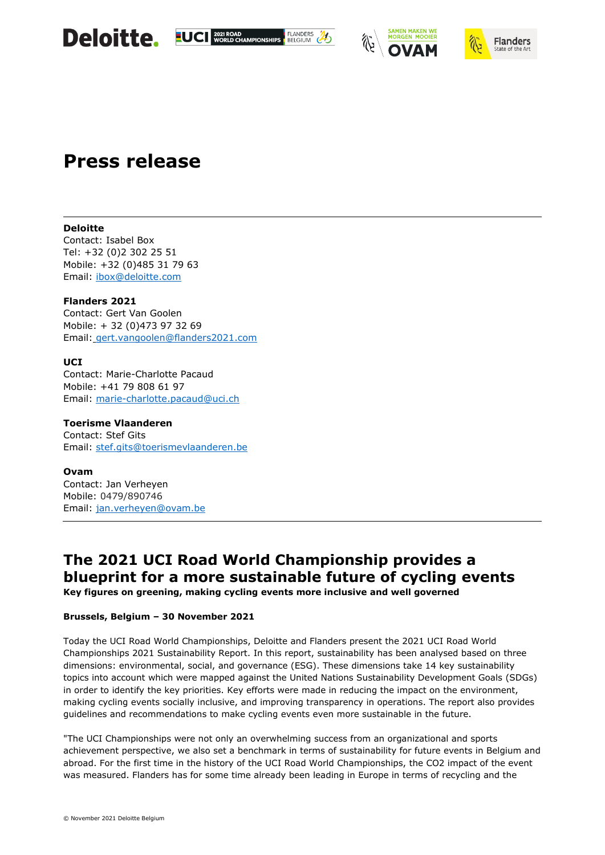









### **Press release**

#### **Deloitte**

Contact: Isabel Box Tel: +32 (0)2 302 25 51 Mobile: +32 (0)485 31 79 63 Email: [ibox@deloitte.com](mailto:ibox@deloitte.com)

**Flanders 2021** Contact: Gert Van Goolen Mobile: + 32 (0)473 97 32 69 Email: [gert.vangoolen@flanders2021.com](mailto:gert.vangoolen@flanders2021.com)

#### **UCI**

Contact: Marie-Charlotte Pacaud Mobile: +41 79 808 61 97 Email: [marie-charlotte.pacaud@uci.ch](mailto:marie-charlotte.pacaud@uci.ch)

**Toerisme Vlaanderen** Contact: Stef Gits Email: [stef.gits@toerismevlaanderen.be](mailto:stef.gits@toerismevlaanderen.be)

**Ovam** Contact: Jan Verheyen Mobile: 0479/890746 Email: [jan.verheyen@ovam.be](mailto:jan.verheyen@ovam.be)

### **The 2021 UCI Road World Championship provides a blueprint for a more sustainable future of cycling events**

**Key figures on greening, making cycling events more inclusive and well governed**

#### **Brussels, Belgium – 30 November 2021**

Today the UCI Road World Championships, Deloitte and Flanders present the 2021 UCI Road World Championships 2021 Sustainability Report. In this report, sustainability has been analysed based on three dimensions: environmental, social, and governance (ESG). These dimensions take 14 key sustainability topics into account which were mapped against the United Nations Sustainability Development Goals (SDGs) in order to identify the key priorities. Key efforts were made in reducing the impact on the environment, making cycling events socially inclusive, and improving transparency in operations. The report also provides guidelines and recommendations to make cycling events even more sustainable in the future.

"The UCI Championships were not only an overwhelming success from an organizational and sports achievement perspective, we also set a benchmark in terms of sustainability for future events in Belgium and abroad. For the first time in the history of the UCI Road World Championships, the CO2 impact of the event was measured. Flanders has for some time already been leading in Europe in terms of recycling and the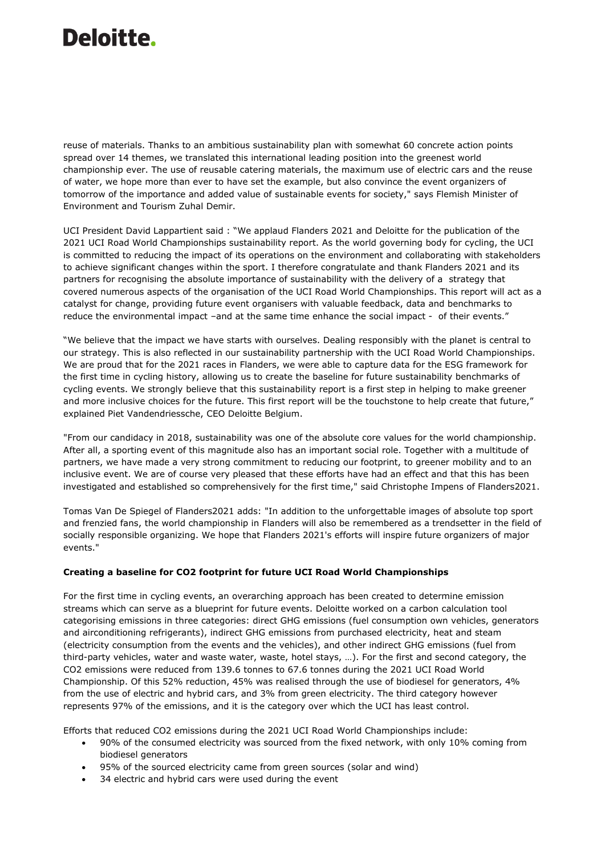reuse of materials. Thanks to an ambitious sustainability plan with somewhat 60 concrete action points spread over 14 themes, we translated this international leading position into the greenest world championship ever. The use of reusable catering materials, the maximum use of electric cars and the reuse of water, we hope more than ever to have set the example, but also convince the event organizers of tomorrow of the importance and added value of sustainable events for society," says Flemish Minister of Environment and Tourism Zuhal Demir.

UCI President David Lappartient said : "We applaud Flanders 2021 and Deloitte for the publication of the 2021 UCI Road World Championships sustainability report. As the world governing body for cycling, the UCI is committed to reducing the impact of its operations on the environment and collaborating with stakeholders to achieve significant changes within the sport. I therefore congratulate and thank Flanders 2021 and its partners for recognising the absolute importance of sustainability with the delivery of a strategy that covered numerous aspects of the organisation of the UCI Road World Championships. This report will act as a catalyst for change, providing future event organisers with valuable feedback, data and benchmarks to reduce the environmental impact –and at the same time enhance the social impact - of their events."

"We believe that the impact we have starts with ourselves. Dealing responsibly with the planet is central to our strategy. This is also reflected in our sustainability partnership with the UCI Road World Championships. We are proud that for the 2021 races in Flanders, we were able to capture data for the ESG framework for the first time in cycling history, allowing us to create the baseline for future sustainability benchmarks of cycling events. We strongly believe that this sustainability report is a first step in helping to make greener and more inclusive choices for the future. This first report will be the touchstone to help create that future," explained Piet Vandendriessche, CEO Deloitte Belgium.

"From our candidacy in 2018, sustainability was one of the absolute core values for the world championship. After all, a sporting event of this magnitude also has an important social role. Together with a multitude of partners, we have made a very strong commitment to reducing our footprint, to greener mobility and to an inclusive event. We are of course very pleased that these efforts have had an effect and that this has been investigated and established so comprehensively for the first time," said Christophe Impens of Flanders2021.

Tomas Van De Spiegel of Flanders2021 adds: "In addition to the unforgettable images of absolute top sport and frenzied fans, the world championship in Flanders will also be remembered as a trendsetter in the field of socially responsible organizing. We hope that Flanders 2021's efforts will inspire future organizers of major events."

#### **Creating a baseline for CO2 footprint for future UCI Road World Championships**

For the first time in cycling events, an overarching approach has been created to determine emission streams which can serve as a blueprint for future events. Deloitte worked on a carbon calculation tool categorising emissions in three categories: direct GHG emissions (fuel consumption own vehicles, generators and airconditioning refrigerants), indirect GHG emissions from purchased electricity, heat and steam (electricity consumption from the events and the vehicles), and other indirect GHG emissions (fuel from third-party vehicles, water and waste water, waste, hotel stays, …). For the first and second category, the CO2 emissions were reduced from 139.6 tonnes to 67.6 tonnes during the 2021 UCI Road World Championship. Of this 52% reduction, 45% was realised through the use of biodiesel for generators, 4% from the use of electric and hybrid cars, and 3% from green electricity. The third category however represents 97% of the emissions, and it is the category over which the UCI has least control.

Efforts that reduced CO2 emissions during the 2021 UCI Road World Championships include:

- 90% of the consumed electricity was sourced from the fixed network, with only 10% coming from biodiesel generators
- 95% of the sourced electricity came from green sources (solar and wind)
- 34 electric and hybrid cars were used during the event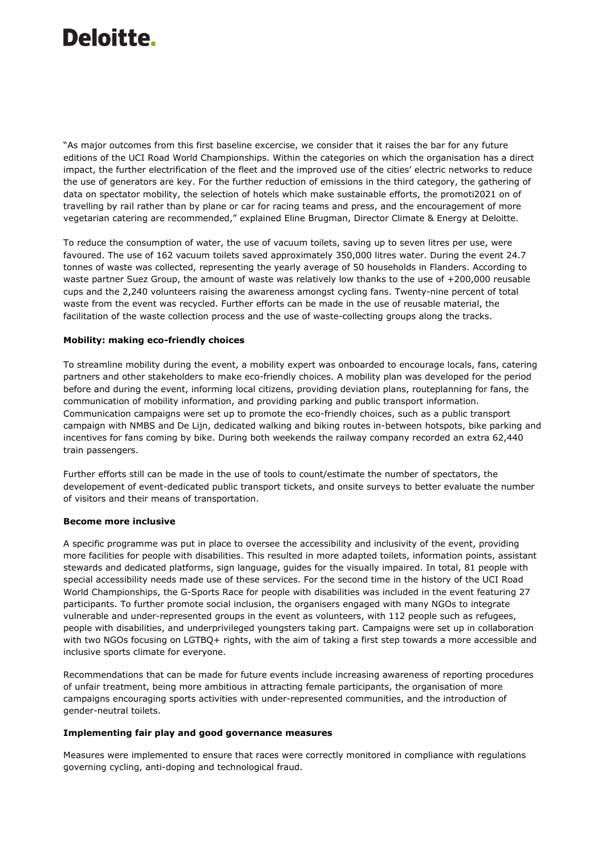"As major outcomes from this first baseline excercise, we consider that it raises the bar for any future editions of the UCI Road World Championships. Within the categories on which the organisation has a direct impact, the further electrification of the fleet and the improved use of the cities' electric networks to reduce the use of generators are key. For the further reduction of emissions in the third category, the gathering of data on spectator mobility, the selection of hotels which make sustainable efforts, the promoti2021 on of travelling by rail rather than by plane or car for racing teams and press, and the encouragement of more vegetarian catering are recommended," explained Eline Brugman, Director Climate & Energy at Deloitte.

To reduce the consumption of water, the use of vacuum toilets, saving up to seven litres per use, were favoured. The use of 162 vacuum toilets saved approximately 350,000 litres water. During the event 24.7 tonnes of waste was collected, representing the yearly average of 50 households in Flanders. According to waste partner Suez Group, the amount of waste was relatively low thanks to the use of +200,000 reusable cups and the 2,240 volunteers raising the awareness amongst cycling fans. Twenty-nine percent of total waste from the event was recycled. Further efforts can be made in the use of reusable material, the facilitation of the waste collection process and the use of waste-collecting groups along the tracks.

#### **Mobility: making eco-friendly choices**

To streamline mobility during the event, a mobility expert was onboarded to encourage locals, fans, catering partners and other stakeholders to make eco-friendly choices. A mobility plan was developed for the period before and during the event, informing local citizens, providing deviation plans, routeplanning for fans, the communication of mobility information, and providing parking and public transport information. Communication campaigns were set up to promote the eco-friendly choices, such as a public transport campaign with NMBS and De Lijn, dedicated walking and biking routes in-between hotspots, bike parking and incentives for fans coming by bike. During both weekends the railway company recorded an extra 62,440 train passengers.

Further efforts still can be made in the use of tools to count/estimate the number of spectators, the developement of event-dedicated public transport tickets, and onsite surveys to better evaluate the number of visitors and their means of transportation.

#### **Become more inclusive**

A specific programme was put in place to oversee the accessibility and inclusivity of the event, providing more facilities for people with disabilities. This resulted in more adapted toilets, information points, assistant stewards and dedicated platforms, sign language, guides for the visually impaired. In total, 81 people with special accessibility needs made use of these services. For the second time in the history of the UCI Road World Championships, the G-Sports Race for people with disabilities was included in the event featuring 27 participants. To further promote social inclusion, the organisers engaged with many NGOs to integrate vulnerable and under-represented groups in the event as volunteers, with 112 people such as refugees, people with disabilities, and underprivileged youngsters taking part. Campaigns were set up in collaboration with two NGOs focusing on LGTBQ+ rights, with the aim of taking a first step towards a more accessible and inclusive sports climate for everyone.

Recommendations that can be made for future events include increasing awareness of reporting procedures of unfair treatment, being more ambitious in attracting female participants, the organisation of more campaigns encouraging sports activities with under-represented communities, and the introduction of gender-neutral toilets.

#### **Implementing fair play and good governance measures**

Measures were implemented to ensure that races were correctly monitored in compliance with regulations governing cycling, anti-doping and technological fraud.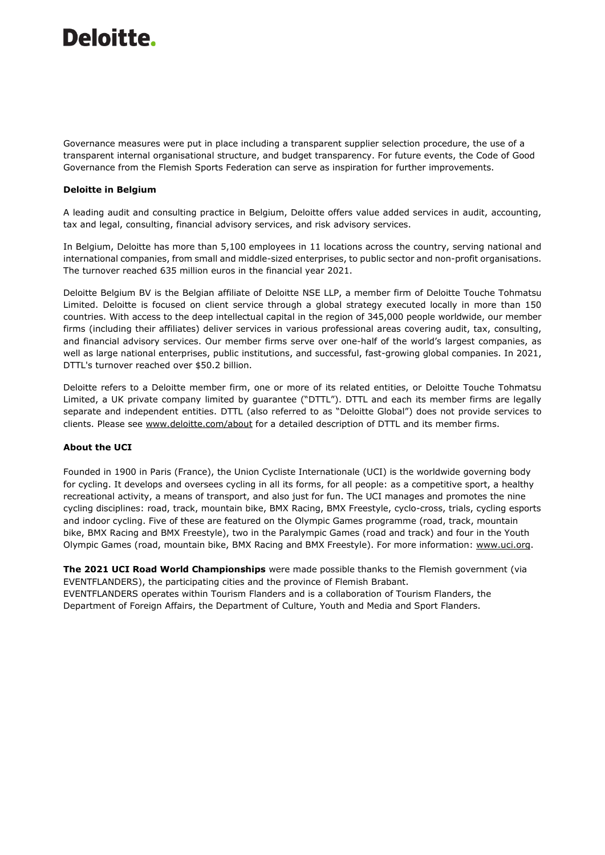Governance measures were put in place including a transparent supplier selection procedure, the use of a transparent internal organisational structure, and budget transparency. For future events, the Code of Good Governance from the Flemish Sports Federation can serve as inspiration for further improvements.

#### **Deloitte in Belgium**

A leading audit and consulting practice in Belgium, Deloitte offers value added services in audit, accounting, tax and legal, consulting, financial advisory services, and risk advisory services.

In Belgium, Deloitte has more than 5,100 employees in 11 locations across the country, serving national and international companies, from small and middle-sized enterprises, to public sector and non-profit organisations. The turnover reached 635 million euros in the financial year 2021.

Deloitte Belgium BV is the Belgian affiliate of Deloitte NSE LLP, a member firm of Deloitte Touche Tohmatsu Limited. Deloitte is focused on client service through a global strategy executed locally in more than 150 countries. With access to the deep intellectual capital in the region of 345,000 people worldwide, our member firms (including their affiliates) deliver services in various professional areas covering audit, tax, consulting, and financial advisory services. Our member firms serve over one-half of the world's largest companies, as well as large national enterprises, public institutions, and successful, fast-growing global companies. In 2021, DTTL's turnover reached over \$50.2 billion.

Deloitte refers to a Deloitte member firm, one or more of its related entities, or Deloitte Touche Tohmatsu Limited, a UK private company limited by guarantee ("DTTL"). DTTL and each its member firms are legally separate and independent entities. DTTL (also referred to as "Deloitte Global") does not provide services to clients. Please see [www.deloitte.com/about](http://www.deloitte.com/about) for a detailed description of DTTL and its member firms.

#### **About the UCI**

Founded in 1900 in Paris (France), the Union Cycliste Internationale (UCI) is the worldwide governing body for cycling. It develops and oversees cycling in all its forms, for all people: as a competitive sport, a healthy recreational activity, a means of transport, and also just for fun. The UCI manages and promotes the nine cycling disciplines: road, track, mountain bike, BMX Racing, BMX Freestyle, cyclo-cross, trials, cycling esports and indoor cycling. Five of these are featured on the Olympic Games programme (road, track, mountain bike, BMX Racing and BMX Freestyle), two in the Paralympic Games (road and track) and four in the Youth Olympic Games (road, mountain bike, BMX Racing and BMX Freestyle). For more information: [www.uci.org.](file:///C:/Users/mpacaud/AppData/Local/Microsoft/Windows/INetCache/Content.Outlook/CN1E1601/www.uci.org)

**The 2021 UCI Road World Championships** were made possible thanks to the Flemish government (via EVENTFLANDERS), the participating cities and the province of Flemish Brabant. EVENTFLANDERS operates within Tourism Flanders and is a collaboration of Tourism Flanders, the Department of Foreign Affairs, the Department of Culture, Youth and Media and Sport Flanders.